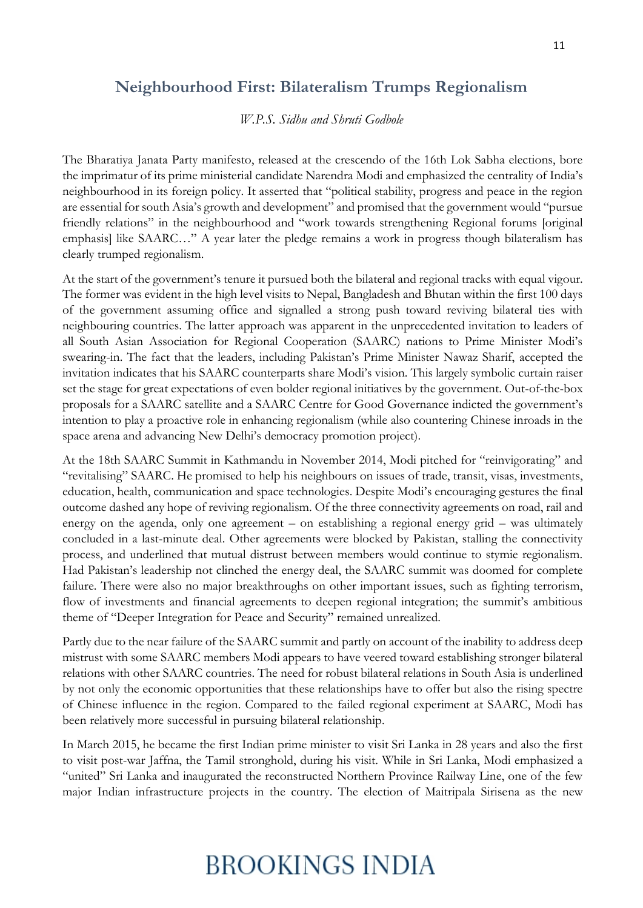## **Neighbourhood First: Bilateralism Trumps Regionalism**

*W.P.S. Sidhu and Shruti Godbole*

The Bharatiya Janata Party manifesto, released at the crescendo of the 16th Lok Sabha elections, bore the imprimatur of its prime ministerial candidate Narendra Modi and emphasized the centrality of India's neighbourhood in its foreign policy. It asserted that "political stability, progress and peace in the region are essential for south Asia's growth and development" and promised that the government would "pursue friendly relations" in the neighbourhood and "work towards strengthening Regional forums [original emphasis] like SAARC…" A year later the pledge remains a work in progress though bilateralism has clearly trumped regionalism.

At the start of the government's tenure it pursued both the bilateral and regional tracks with equal vigour. The former was evident in the high level visits to Nepal, Bangladesh and Bhutan within the first 100 days of the government assuming office and signalled a strong push toward reviving bilateral ties with neighbouring countries. The latter approach was apparent in the unprecedented invitation to leaders of all South Asian Association for Regional Cooperation (SAARC) nations to Prime Minister Modi's swearing-in. The fact that the leaders, including Pakistan's Prime Minister Nawaz Sharif, accepted the invitation indicates that his SAARC counterparts share Modi's vision. This largely symbolic curtain raiser set the stage for great expectations of even bolder regional initiatives by the government. Out-of-the-box proposals for a SAARC satellite and a SAARC Centre for Good Governance indicted the government's intention to play a proactive role in enhancing regionalism (while also countering Chinese inroads in the space arena and advancing New Delhi's democracy promotion project).

At the 18th SAARC Summit in Kathmandu in November 2014, Modi pitched for "reinvigorating" and "revitalising" SAARC. He promised to help his neighbours on issues of trade, transit, visas, investments, education, health, communication and space technologies. Despite Modi's encouraging gestures the final outcome dashed any hope of reviving regionalism. Of the three connectivity agreements on road, rail and energy on the agenda, only one agreement – on establishing a regional energy grid – was ultimately concluded in a last-minute deal. Other agreements were blocked by Pakistan, stalling the connectivity process, and underlined that mutual distrust between members would continue to stymie regionalism. Had Pakistan's leadership not clinched the energy deal, the SAARC summit was doomed for complete failure. There were also no major breakthroughs on other important issues, such as fighting terrorism, flow of investments and financial agreements to deepen regional integration; the summit's ambitious theme of "Deeper Integration for Peace and Security" remained unrealized.

Partly due to the near failure of the SAARC summit and partly on account of the inability to address deep mistrust with some SAARC members Modi appears to have veered toward establishing stronger bilateral relations with other SAARC countries. The need for robust bilateral relations in South Asia is underlined by not only the economic opportunities that these relationships have to offer but also the rising spectre of Chinese influence in the region. Compared to the failed regional experiment at SAARC, Modi has been relatively more successful in pursuing bilateral relationship.

In March 2015, he became the first Indian prime minister to visit Sri Lanka in 28 years and also the first to visit post-war Jaffna, the Tamil stronghold, during his visit. While in Sri Lanka, Modi emphasized a "united" Sri Lanka and inaugurated the reconstructed Northern Province Railway Line, one of the few major Indian infrastructure projects in the country. The election of Maitripala Sirisena as the new

## **BROOKINGS INDIA**